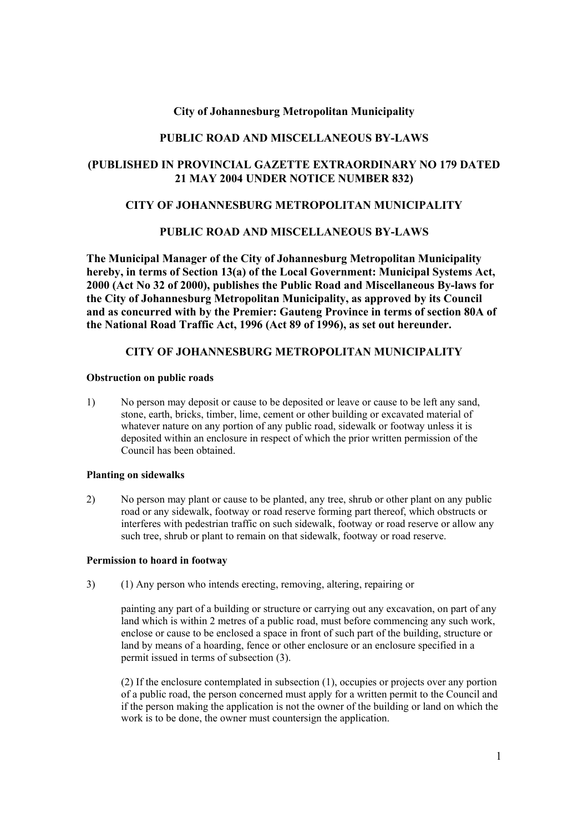## **City of Johannesburg Metropolitan Municipality**

# **PUBLIC ROAD AND MISCELLANEOUS BY-LAWS**

## **(PUBLISHED IN PROVINCIAL GAZETTE EXTRAORDINARY NO 179 DATED 21 MAY 2004 UNDER NOTICE NUMBER 832)**

### **CITY OF JOHANNESBURG METROPOLITAN MUNICIPALITY**

### **PUBLIC ROAD AND MISCELLANEOUS BY-LAWS**

**The Municipal Manager of the City of Johannesburg Metropolitan Municipality hereby, in terms of Section 13(a) of the Local Government: Municipal Systems Act, 2000 (Act No 32 of 2000), publishes the Public Road and Miscellaneous By-laws for the City of Johannesburg Metropolitan Municipality, as approved by its Council and as concurred with by the Premier: Gauteng Province in terms of section 80A of the National Road Traffic Act, 1996 (Act 89 of 1996), as set out hereunder.** 

# **CITY OF JOHANNESBURG METROPOLITAN MUNICIPALITY**

### **Obstruction on public roads**

1) No person may deposit or cause to be deposited or leave or cause to be left any sand, stone, earth, bricks, timber, lime, cement or other building or excavated material of whatever nature on any portion of any public road, sidewalk or footway unless it is deposited within an enclosure in respect of which the prior written permission of the Council has been obtained.

### **Planting on sidewalks**

2) No person may plant or cause to be planted, any tree, shrub or other plant on any public road or any sidewalk, footway or road reserve forming part thereof, which obstructs or interferes with pedestrian traffic on such sidewalk, footway or road reserve or allow any such tree, shrub or plant to remain on that sidewalk, footway or road reserve.

### **Permission to hoard in footway**

3) (1) Any person who intends erecting, removing, altering, repairing or

painting any part of a building or structure or carrying out any excavation, on part of any land which is within 2 metres of a public road, must before commencing any such work, enclose or cause to be enclosed a space in front of such part of the building, structure or land by means of a hoarding, fence or other enclosure or an enclosure specified in a permit issued in terms of subsection (3).

(2) If the enclosure contemplated in subsection (1), occupies or projects over any portion of a public road, the person concerned must apply for a written permit to the Council and if the person making the application is not the owner of the building or land on which the work is to be done, the owner must countersign the application.